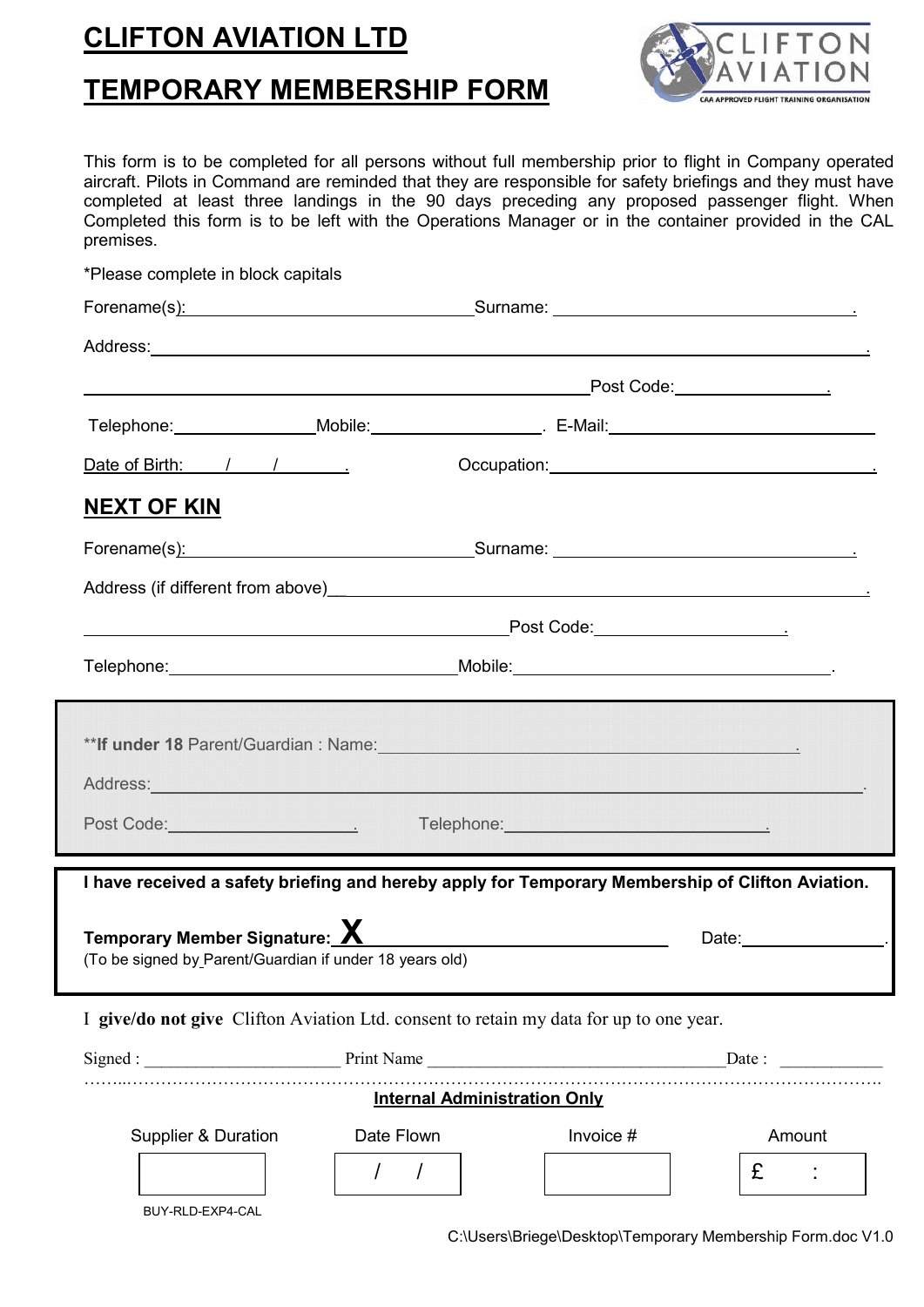## **CLIFTON AVIATION LTD**

## **TEMPORARY MEMBERSHIP FORM**



This form is to be completed for all persons without full membership prior to flight in Company operated aircraft. Pilots in Command are reminded that they are responsible for safety briefings and they must have completed at least three landings in the 90 days preceding any proposed passenger flight. When Completed this form is to be left with the Operations Manager or in the container provided in the CAL premises.

|                                                                                                                                                                                                                                |                                     |                                                                                                                                                                                                                                | Post Code: ____________________ |
|--------------------------------------------------------------------------------------------------------------------------------------------------------------------------------------------------------------------------------|-------------------------------------|--------------------------------------------------------------------------------------------------------------------------------------------------------------------------------------------------------------------------------|---------------------------------|
|                                                                                                                                                                                                                                |                                     |                                                                                                                                                                                                                                |                                 |
| Date of Birth: / / / <u>.</u>                                                                                                                                                                                                  |                                     |                                                                                                                                                                                                                                |                                 |
| <u>NEXT OF KIN</u>                                                                                                                                                                                                             |                                     |                                                                                                                                                                                                                                |                                 |
| Forename(s): Surname: Surname: Surname: Surname: Surname: Surname: Surname: Surname: Surname: Surname: Surname: Surname: Surname: Surname: Surname: Surname: Surname: Surname: Surname: Surname: Surname: Surname: Surname: Su |                                     |                                                                                                                                                                                                                                |                                 |
|                                                                                                                                                                                                                                |                                     |                                                                                                                                                                                                                                |                                 |
|                                                                                                                                                                                                                                |                                     |                                                                                                                                                                                                                                |                                 |
| <u> 1989 - Johann Barnett, fransk politiker (d. 1989)</u>                                                                                                                                                                      |                                     | Post Code: _________________________                                                                                                                                                                                           |                                 |
|                                                                                                                                                                                                                                |                                     |                                                                                                                                                                                                                                |                                 |
|                                                                                                                                                                                                                                |                                     |                                                                                                                                                                                                                                |                                 |
| **lf under 18 Parent/Guardian : Name: Manner And Allen and Allen and Allen and Allen and Allen and Allen and A                                                                                                                 |                                     |                                                                                                                                                                                                                                |                                 |
| Address: Note and the contract of the contract of the contract of the contract of the contract of the contract of the contract of the contract of the contract of the contract of the contract of the contract of the contract |                                     |                                                                                                                                                                                                                                |                                 |
| Post Code: <u>New York: New York: New York: New York: New York: New York: New York: New York: New York: New York: N</u>                                                                                                        |                                     | Telephone: New York State State State State State State State State State State State State State State State State State State State State State State State State State State State State State State State State State Stat |                                 |
|                                                                                                                                                                                                                                |                                     |                                                                                                                                                                                                                                |                                 |
| I have received a safety briefing and hereby apply for Temporary Membership of Clifton Aviation.                                                                                                                               |                                     |                                                                                                                                                                                                                                |                                 |
|                                                                                                                                                                                                                                |                                     |                                                                                                                                                                                                                                |                                 |
| Temporary Member Signature: X                                                                                                                                                                                                  |                                     |                                                                                                                                                                                                                                | Date:__________________.        |
| (To be signed by Parent/Guardian if under 18 years old)                                                                                                                                                                        |                                     |                                                                                                                                                                                                                                |                                 |
| I give/do not give Clifton Aviation Ltd. consent to retain my data for up to one year.                                                                                                                                         |                                     |                                                                                                                                                                                                                                |                                 |
| Signed: Date: Date: Date:                                                                                                                                                                                                      |                                     |                                                                                                                                                                                                                                |                                 |
|                                                                                                                                                                                                                                | <b>Internal Administration Only</b> |                                                                                                                                                                                                                                |                                 |
| <b>Supplier &amp; Duration</b>                                                                                                                                                                                                 | Date Flown                          | Invoice #                                                                                                                                                                                                                      | Amount                          |

BUY-RLD-EXP4-CAL

C:\Users\Briege\Desktop\Temporary Membership Form.doc V1.0